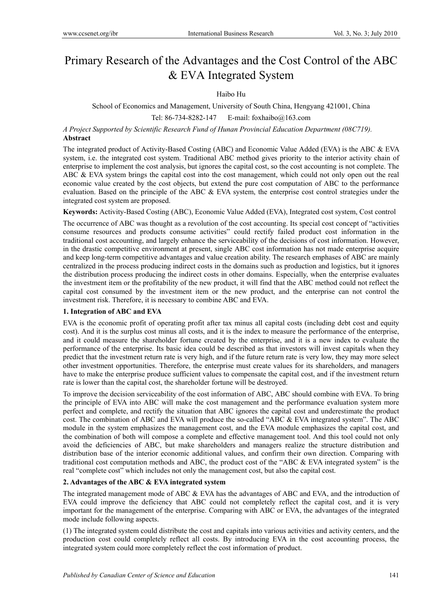# Primary Research of the Advantages and the Cost Control of the ABC & EVA Integrated System

## Haibo Hu

School of Economics and Management, University of South China, Hengyang 421001, China

Tel: 86-734-8282-147 E-mail: foxhaibo@163.com

*A Project Supported by Scientific Research Fund of Hunan Provincial Education Department (08C719).*  **Abstract** 

The integrated product of Activity-Based Costing (ABC) and Economic Value Added (EVA) is the ABC & EVA system, i.e. the integrated cost system. Traditional ABC method gives priority to the interior activity chain of enterprise to implement the cost analysis, but ignores the capital cost, so the cost accounting is not complete. The ABC & EVA system brings the capital cost into the cost management, which could not only open out the real economic value created by the cost objects, but extend the pure cost computation of ABC to the performance evaluation. Based on the principle of the ABC  $\&$  EVA system, the enterprise cost control strategies under the integrated cost system are proposed.

**Keywords:** Activity-Based Costing (ABC), Economic Value Added (EVA), Integrated cost system, Cost control

The occurrence of ABC was thought as a revolution of the cost accounting. Its special cost concept of "activities consume resources and products consume activities" could rectify failed product cost information in the traditional cost accounting, and largely enhance the serviceability of the decisions of cost information. However, in the drastic competitive environment at present, single ABC cost information has not made enterprise acquire and keep long-term competitive advantages and value creation ability. The research emphases of ABC are mainly centralized in the process producing indirect costs in the domains such as production and logistics, but it ignores the distribution process producing the indirect costs in other domains. Especially, when the enterprise evaluates the investment item or the profitability of the new product, it will find that the ABC method could not reflect the capital cost consumed by the investment item or the new product, and the enterprise can not control the investment risk. Therefore, it is necessary to combine ABC and EVA.

## **1. Integration of ABC and EVA**

EVA is the economic profit of operating profit after tax minus all capital costs (including debt cost and equity cost). And it is the surplus cost minus all costs, and it is the index to measure the performance of the enterprise, and it could measure the shareholder fortune created by the enterprise, and it is a new index to evaluate the performance of the enterprise. Its basic idea could be described as that investors will invest capitals when they predict that the investment return rate is very high, and if the future return rate is very low, they may more select other investment opportunities. Therefore, the enterprise must create values for its shareholders, and managers have to make the enterprise produce sufficient values to compensate the capital cost, and if the investment return rate is lower than the capital cost, the shareholder fortune will be destroyed.

To improve the decision serviceability of the cost information of ABC, ABC should combine with EVA. To bring the principle of EVA into ABC will make the cost management and the performance evaluation system more perfect and complete, and rectify the situation that ABC ignores the capital cost and underestimate the product cost. The combination of ABC and EVA will produce the so-called "ABC & EVA integrated system". The ABC module in the system emphasizes the management cost, and the EVA module emphasizes the capital cost, and the combination of both will compose a complete and effective management tool. And this tool could not only avoid the deficiencies of ABC, but make shareholders and managers realize the structure distribution and distribution base of the interior economic additional values, and confirm their own direction. Comparing with traditional cost computation methods and ABC, the product cost of the "ABC & EVA integrated system" is the real "complete cost" which includes not only the management cost, but also the capital cost.

#### **2. Advantages of the ABC & EVA integrated system**

The integrated management mode of ABC & EVA has the advantages of ABC and EVA, and the introduction of EVA could improve the deficiency that ABC could not completely reflect the capital cost, and it is very important for the management of the enterprise. Comparing with ABC or EVA, the advantages of the integrated mode include following aspects.

(1) The integrated system could distribute the cost and capitals into various activities and activity centers, and the production cost could completely reflect all costs. By introducing EVA in the cost accounting process, the integrated system could more completely reflect the cost information of product.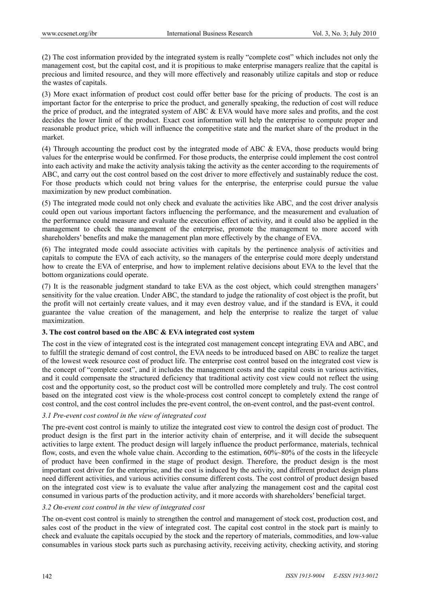(2) The cost information provided by the integrated system is really "complete cost" which includes not only the management cost, but the capital cost, and it is propitious to make enterprise managers realize that the capital is precious and limited resource, and they will more effectively and reasonably utilize capitals and stop or reduce the wastes of capitals.

(3) More exact information of product cost could offer better base for the pricing of products. The cost is an important factor for the enterprise to price the product, and generally speaking, the reduction of cost will reduce the price of product, and the integrated system of ABC & EVA would have more sales and profits, and the cost decides the lower limit of the product. Exact cost information will help the enterprise to compute proper and reasonable product price, which will influence the competitive state and the market share of the product in the market.

(4) Through accounting the product cost by the integrated mode of ABC & EVA, those products would bring values for the enterprise would be confirmed. For those products, the enterprise could implement the cost control into each activity and make the activity analysis taking the activity as the center according to the requirements of ABC, and carry out the cost control based on the cost driver to more effectively and sustainably reduce the cost. For those products which could not bring values for the enterprise, the enterprise could pursue the value maximization by new product combination.

(5) The integrated mode could not only check and evaluate the activities like ABC, and the cost driver analysis could open out various important factors influencing the performance, and the measurement and evaluation of the performance could measure and evaluate the execution effect of activity, and it could also be applied in the management to check the management of the enterprise, promote the management to more accord with shareholders' benefits and make the management plan more effectively by the change of EVA.

(6) The integrated mode could associate activities with capitals by the pertinence analysis of activities and capitals to compute the EVA of each activity, so the managers of the enterprise could more deeply understand how to create the EVA of enterprise, and how to implement relative decisions about EVA to the level that the bottom organizations could operate.

(7) It is the reasonable judgment standard to take EVA as the cost object, which could strengthen managers' sensitivity for the value creation. Under ABC, the standard to judge the rationality of cost object is the profit, but the profit will not certainly create values, and it may even destroy value, and if the standard is EVA, it could guarantee the value creation of the management, and help the enterprise to realize the target of value maximization.

#### **3. The cost control based on the ABC & EVA integrated cost system**

The cost in the view of integrated cost is the integrated cost management concept integrating EVA and ABC, and to fulfill the strategic demand of cost control, the EVA needs to be introduced based on ABC to realize the target of the lowest week resource cost of product life. The enterprise cost control based on the integrated cost view is the concept of "complete cost", and it includes the management costs and the capital costs in various activities, and it could compensate the structured deficiency that traditional activity cost view could not reflect the using cost and the opportunity cost, so the product cost will be controlled more completely and truly. The cost control based on the integrated cost view is the whole-process cost control concept to completely extend the range of cost control, and the cost control includes the pre-event control, the on-event control, and the past-event control.

#### *3.1 Pre-event cost control in the view of integrated cost*

The pre-event cost control is mainly to utilize the integrated cost view to control the design cost of product. The product design is the first part in the interior activity chain of enterprise, and it will decide the subsequent activities to large extent. The product design will largely influence the product performance, materials, technical flow, costs, and even the whole value chain. According to the estimation, 60%~80% of the costs in the lifecycle of product have been confirmed in the stage of product design. Therefore, the product design is the most important cost driver for the enterprise, and the cost is induced by the activity, and different product design plans need different activities, and various activities consume different costs. The cost control of product design based on the integrated cost view is to evaluate the value after analyzing the management cost and the capital cost consumed in various parts of the production activity, and it more accords with shareholders' beneficial target.

#### *3.2 On-event cost control in the view of integrated cost*

The on-event cost control is mainly to strengthen the control and management of stock cost, production cost, and sales cost of the product in the view of integrated cost. The capital cost control in the stock part is mainly to check and evaluate the capitals occupied by the stock and the repertory of materials, commodities, and low-value consumables in various stock parts such as purchasing activity, receiving activity, checking activity, and storing